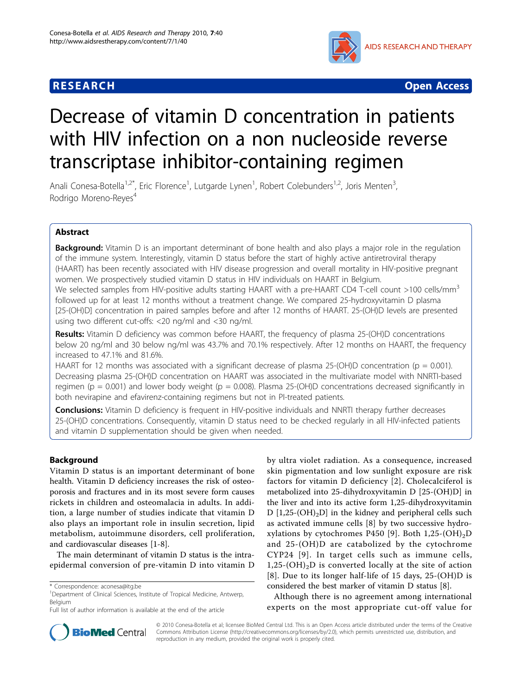## **RESEARCH CHRISTIAN CONSUMING CONTRACT CONSUMING CONSUMING CONSUMING CONSUMING CONSUMING CONSUMING CONSUMING CO**



# Decrease of vitamin D concentration in patients with HIV infection on a non nucleoside reverse transcriptase inhibitor-containing regimen

Anali Conesa-Botella<sup>1,2\*</sup>, Eric Florence<sup>1</sup>, Lutgarde Lynen<sup>1</sup>, Robert Colebunders<sup>1,2</sup>, Joris Menten<sup>3</sup> , Rodrigo Moreno-Reyes<sup>4</sup>

## Abstract

**Background:** Vitamin D is an important determinant of bone health and also plays a major role in the regulation of the immune system. Interestingly, vitamin D status before the start of highly active antiretroviral therapy (HAART) has been recently associated with HIV disease progression and overall mortality in HIV-positive pregnant women. We prospectively studied vitamin D status in HIV individuals on HAART in Belgium.

We selected samples from HIV-positive adults starting HAART with a pre-HAART CD4 T-cell count >100 cells/mm<sup>3</sup> followed up for at least 12 months without a treatment change. We compared 25-hydroxyvitamin D plasma [25-(OH)D] concentration in paired samples before and after 12 months of HAART. 25-(OH)D levels are presented using two different cut-offs: <20 ng/ml and <30 ng/ml.

Results: Vitamin D deficiency was common before HAART, the frequency of plasma 25-(OH)D concentrations below 20 ng/ml and 30 below ng/ml was 43.7% and 70.1% respectively. After 12 months on HAART, the frequency increased to 47.1% and 81.6%.

HAART for 12 months was associated with a significant decrease of plasma 25-(OH)D concentration ( $p = 0.001$ ). Decreasing plasma 25-(OH)D concentration on HAART was associated in the multivariate model with NNRTI-based regimen ( $p = 0.001$ ) and lower body weight ( $p = 0.008$ ). Plasma 25-(OH)D concentrations decreased significantly in both nevirapine and efavirenz-containing regimens but not in PI-treated patients.

**Conclusions:** Vitamin D deficiency is frequent in HIV-positive individuals and NNRTI therapy further decreases 25-(OH)D concentrations. Consequently, vitamin D status need to be checked regularly in all HIV-infected patients and vitamin D supplementation should be given when needed.

## Background

Vitamin D status is an important determinant of bone health. Vitamin D deficiency increases the risk of osteoporosis and fractures and in its most severe form causes rickets in children and osteomalacia in adults. In addition, a large number of studies indicate that vitamin D also plays an important role in insulin secretion, lipid metabolism, autoimmune disorders, cell proliferation, and cardiovascular diseases [[1-8](#page-4-0)].

The main determinant of vitamin D status is the intraepidermal conversion of pre-vitamin D into vitamin D by ultra violet radiation. As a consequence, increased skin pigmentation and low sunlight exposure are risk factors for vitamin D deficiency [[2\]](#page-4-0). Cholecalciferol is metabolized into 25-dihydroxyvitamin D [25-(OH)D] in the liver and into its active form 1,25-dihydroxyvitamin D  $[1,25-(OH)_2D]$  in the kidney and peripheral cells such as activated immune cells [[8\]](#page-4-0) by two successive hydro-xylations by cytochromes P450 [\[9\]](#page-4-0). Both  $1,25-(OH)_2D$ and 25-(OH)D are catabolized by the cytochrome CYP24 [[9\]](#page-4-0). In target cells such as immune cells,  $1,25-(OH)<sub>2</sub>D$  is converted locally at the site of action [[8](#page-4-0)]. Due to its longer half-life of 15 days, 25-(OH)D is considered the best marker of vitamin D status [\[8](#page-4-0)].

Although there is no agreement among international experts on the most appropriate cut-off value for



© 2010 Conesa-Botella et al; licensee BioMed Central Ltd. This is an Open Access article distributed under the terms of the Creative Commons Attribution License [\(http://creativecommons.org/licenses/by/2.0](http://creativecommons.org/licenses/by/2.0)), which permits unrestricted use, distribution, and reproduction in any medium, provided the original work is properly cited.

<sup>\*</sup> Correspondence: [aconesa@itg.be](mailto:aconesa@itg.be)

<sup>&</sup>lt;sup>1</sup>Department of Clinical Sciences, Institute of Tropical Medicine, Antwerp, Belgium

Full list of author information is available at the end of the article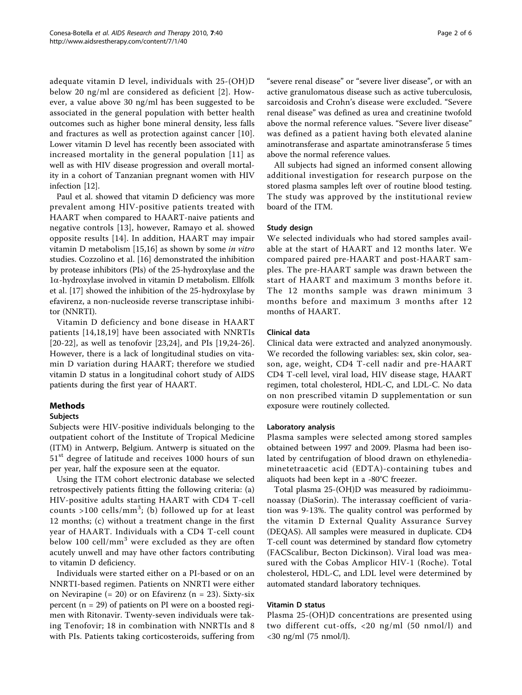adequate vitamin D level, individuals with 25-(OH)D below 20 ng/ml are considered as deficient [[2](#page-4-0)]. However, a value above 30 ng/ml has been suggested to be associated in the general population with better health outcomes such as higher bone mineral density, less falls and fractures as well as protection against cancer [[10](#page-4-0)]. Lower vitamin D level has recently been associated with increased mortality in the general population [[11\]](#page-4-0) as well as with HIV disease progression and overall mortality in a cohort of Tanzanian pregnant women with HIV infection [[12\]](#page-4-0).

Paul et al. showed that vitamin D deficiency was more prevalent among HIV-positive patients treated with HAART when compared to HAART-naive patients and negative controls [[13\]](#page-4-0), however, Ramayo et al. showed opposite results [[14](#page-4-0)]. In addition, HAART may impair vitamin D metabolism [[15,16\]](#page-4-0) as shown by some in vitro studies. Cozzolino et al. [[16\]](#page-4-0) demonstrated the inhibition by protease inhibitors (PIs) of the 25-hydroxylase and the  $1\alpha$ -hydroxylase involved in vitamin D metabolism. Ellfolk et al. [\[17](#page-4-0)] showed the inhibition of the 25-hydroxylase by efavirenz, a non-nucleoside reverse transcriptase inhibitor (NNRTI).

Vitamin D deficiency and bone disease in HAART patients [\[14,18](#page-4-0)[,19\]](#page-5-0) have been associated with NNRTIs [[20-22\]](#page-5-0), as well as tenofovir [\[23,24](#page-5-0)], and PIs [\[19](#page-5-0),[24-26](#page-5-0)]. However, there is a lack of longitudinal studies on vitamin D variation during HAART; therefore we studied vitamin D status in a longitudinal cohort study of AIDS patients during the first year of HAART.

## Methods

## **Subjects**

Subjects were HIV-positive individuals belonging to the outpatient cohort of the Institute of Tropical Medicine (ITM) in Antwerp, Belgium. Antwerp is situated on the 51<sup>st</sup> degree of latitude and receives 1000 hours of sun per year, half the exposure seen at the equator.

Using the ITM cohort electronic database we selected retrospectively patients fitting the following criteria: (a) HIV-positive adults starting HAART with CD4 T-cell counts >100 cells/mm<sup>3</sup>; (b) followed up for at least 12 months; (c) without a treatment change in the first year of HAART. Individuals with a CD4 T-cell count below 100 cell/mm<sup>3</sup> were excluded as they are often acutely unwell and may have other factors contributing to vitamin D deficiency.

Individuals were started either on a PI-based or on an NNRTI-based regimen. Patients on NNRTI were either on Nevirapine  $(= 20)$  or on Efavirenz  $(n = 23)$ . Sixty-six percent (n = 29) of patients on PI were on a boosted regimen with Ritonavir. Twenty-seven individuals were taking Tenofovir; 18 in combination with NNRTIs and 8 with PIs. Patients taking corticosteroids, suffering from

"severe renal disease" or "severe liver disease", or with an active granulomatous disease such as active tuberculosis, sarcoidosis and Crohn's disease were excluded. "Severe renal disease" was defined as urea and creatinine twofold above the normal reference values. "Severe liver disease" was defined as a patient having both elevated alanine aminotransferase and aspartate aminotransferase 5 times above the normal reference values.

All subjects had signed an informed consent allowing additional investigation for research purpose on the stored plasma samples left over of routine blood testing. The study was approved by the institutional review board of the ITM.

#### Study design

We selected individuals who had stored samples available at the start of HAART and 12 months later. We compared paired pre-HAART and post-HAART samples. The pre-HAART sample was drawn between the start of HAART and maximum 3 months before it. The 12 months sample was drawn minimum 3 months before and maximum 3 months after 12 months of HAART.

#### Clinical data

Clinical data were extracted and analyzed anonymously. We recorded the following variables: sex, skin color, season, age, weight, CD4 T-cell nadir and pre-HAART CD4 T-cell level, viral load, HIV disease stage, HAART regimen, total cholesterol, HDL-C, and LDL-C. No data on non prescribed vitamin D supplementation or sun exposure were routinely collected.

#### Laboratory analysis

Plasma samples were selected among stored samples obtained between 1997 and 2009. Plasma had been isolated by centrifugation of blood drawn on ethylenediaminetetraacetic acid (EDTA)-containing tubes and aliquots had been kept in a -80°C freezer.

Total plasma 25-(OH)D was measured by radioimmunoassay (DiaSorin). The interassay coefficient of variation was 9-13%. The quality control was performed by the vitamin D External Quality Assurance Survey (DEQAS). All samples were measured in duplicate. CD4 T-cell count was determined by standard flow cytometry (FACScalibur, Becton Dickinson). Viral load was measured with the Cobas Amplicor HIV-1 (Roche). Total cholesterol, HDL-C, and LDL level were determined by automated standard laboratory techniques.

#### Vitamin D status

Plasma 25-(OH)D concentrations are presented using two different cut-offs, <20 ng/ml (50 nmol/l) and <30 ng/ml (75 nmol/l).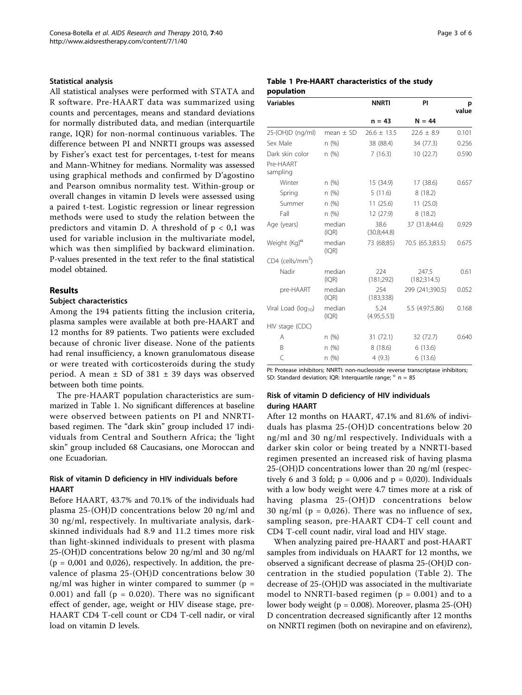#### Statistical analysis

All statistical analyses were performed with STATA and R software. Pre-HAART data was summarized using counts and percentages, means and standard deviations for normally distributed data, and median (interquartile range, IQR) for non-normal continuous variables. The difference between PI and NNRTI groups was assessed by Fisher's exact test for percentages, t-test for means and Mann-Whitney for medians. Normality was assessed using graphical methods and confirmed by D'agostino and Pearson omnibus normality test. Within-group or overall changes in vitamin D levels were assessed using a paired t-test. Logistic regression or linear regression methods were used to study the relation between the predictors and vitamin D. A threshold of  $p < 0.1$  was used for variable inclusion in the multivariate model, which was then simplified by backward elimination. P-values presented in the text refer to the final statistical model obtained.

## Results

#### Subject characteristics

Among the 194 patients fitting the inclusion criteria, plasma samples were available at both pre-HAART and 12 months for 89 patients. Two patients were excluded because of chronic liver disease. None of the patients had renal insufficiency, a known granulomatous disease or were treated with corticosteroids during the study period. A mean  $\pm$  SD of 381  $\pm$  39 days was observed between both time points.

The pre-HAART population characteristics are summarized in Table 1. No significant differences at baseline were observed between patients on PI and NNRTIbased regimen. The "dark skin" group included 17 individuals from Central and Southern Africa; the 'light skin" group included 68 Caucasians, one Moroccan and one Ecuadorian.

### Risk of vitamin D deficiency in HIV individuals before HAART

Before HAART, 43.7% and 70.1% of the individuals had plasma 25-(OH)D concentrations below 20 ng/ml and 30 ng/ml, respectively. In multivariate analysis, darkskinned individuals had 8.9 and 11.2 times more risk than light-skinned individuals to present with plasma 25-(OH)D concentrations below 20 ng/ml and 30 ng/ml  $(p = 0,001$  and 0,026), respectively. In addition, the prevalence of plasma 25-(OH)D concentrations below 30 ng/ml was higher in winter compared to summer ( $p =$ 0.001) and fall ( $p = 0.020$ ). There was no significant effect of gender, age, weight or HIV disease stage, pre-HAART CD4 T-cell count or CD4 T-cell nadir, or viral load on vitamin D levels.

### Table 1 Pre-HAART characteristics of the study population

| <b>Variables</b>             |                 | <b>NNRTI</b>         | PI                   | p<br>value |
|------------------------------|-----------------|----------------------|----------------------|------------|
|                              |                 | $n = 43$             | $N = 44$             |            |
| 25-(OH)D (ng/ml)             | $mean + SD$     | $26.6 \pm 13.5$      | $22.6 \pm 8.9$       | 0.101      |
| Sex Male                     | n (%)           | 38 (88.4)            | 34 (77.3)            | 0.256      |
| Dark skin color              | n (%)           | 7(16.3)              | 10(22.7)             | 0.590      |
| Pre-HAART<br>sampling        |                 |                      |                      |            |
| Winter                       | n(%)            | 15 (34.9)            | 17 (38.6)            | 0.657      |
| Spring                       | n (%)           | 5(11.6)              | 8(18.2)              |            |
| Summer                       | n(%)            | 11(25.6)             | 11(25.0)             |            |
| Fall                         | n (%)           | 12 (27.9)            | 8(18.2)              |            |
| Age (years)                  | median<br>(IQR) | 38.6<br>(30.8; 44.8) | 37 (31.8;44.6)       | 0.929      |
| Weight $(Kq)^\alpha$         | median<br>(IQR) | 73 (68;85)           | 70.5 (65.3;83.5)     | 0.675      |
| CD4 (cells/mm <sup>3</sup> ) |                 |                      |                      |            |
| Nadir                        | median<br>(IQR) | 224<br>(181;292)     | 247.5<br>(182;314.5) | 0.61       |
| pre-HAART                    | median<br>(IQR) | 254<br>(183; 338)    | 299 (241;390.5)      | 0.052      |
| Viral Load ( $log_{10}$ )    | median<br>(IQR) | 5.24<br>(4.95; 5.53) | 5.5 (4.97;5.86)      | 0.168      |
| HIV stage (CDC)              |                 |                      |                      |            |
| Α                            | n (%)           | 31(72.1)             | 32 (72.7)            | 0.640      |
| B                            | n (%)           | 8(18.6)              | 6(13.6)              |            |
| C                            | n (%)           | 4(9.3)               | 6(13.6)              |            |

PI: Protease inhibitors; NNRTI: non-nucleoside reverse transcriptase inhibitors; SD: Standard deviation; IQR: Interquartile range;  $\alpha$  n = 85

#### Risk of vitamin D deficiency of HIV individuals during HAART

After 12 months on HAART, 47.1% and 81.6% of individuals has plasma 25-(OH)D concentrations below 20 ng/ml and 30 ng/ml respectively. Individuals with a darker skin color or being treated by a NNRTI-based regimen presented an increased risk of having plasma 25-(OH)D concentrations lower than 20 ng/ml (respectively 6 and 3 fold;  $p = 0,006$  and  $p = 0,020$ ). Individuals with a low body weight were 4.7 times more at a risk of having plasma 25-(OH)D concentrations below 30 ng/ml ( $p = 0.026$ ). There was no influence of sex, sampling season, pre-HAART CD4-T cell count and CD4 T-cell count nadir, viral load and HIV stage.

When analyzing paired pre-HAART and post-HAART samples from individuals on HAART for 12 months, we observed a significant decrease of plasma 25-(OH)D concentration in the studied population (Table [2](#page-3-0)). The decrease of 25-(OH)D was associated in the multivariate model to NNRTI-based regimen ( $p = 0.001$ ) and to a lower body weight (p = 0.008). Moreover, plasma 25-(OH) D concentration decreased significantly after 12 months on NNRTI regimen (both on nevirapine and on efavirenz),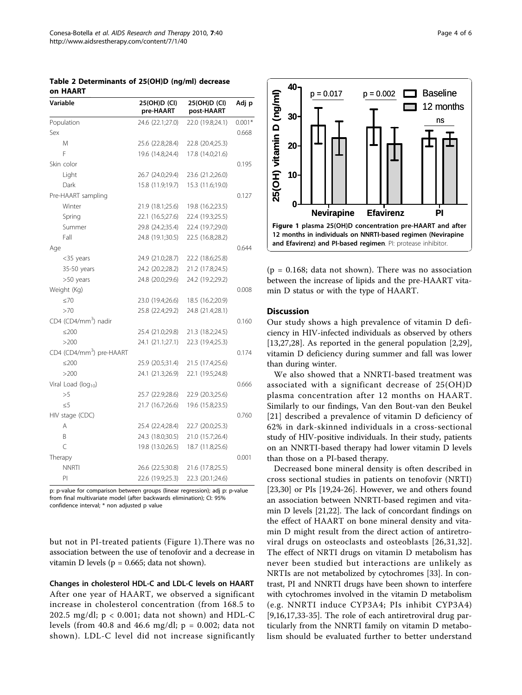<span id="page-3-0"></span>

| Table 2 Determinants of 25(OH)D (ng/ml) decrease |  |  |
|--------------------------------------------------|--|--|
| on HAART                                         |  |  |

| Variable                             | 25(OH)D (CI)<br>pre-HAART | 25(OH)D (CI)<br>post-HAART | Adj p    |
|--------------------------------------|---------------------------|----------------------------|----------|
| Population                           | 24.6 (22.1;27.0)          | 22.0 (19.8;24.1)           | $0.001*$ |
| Sex                                  |                           |                            | 0.668    |
| M                                    | 25.6 (22.8;28.4)          | 22.8 (20.4;25.3)           |          |
| F                                    | 19.6 (14.8;24.4)          | 17.8 (14.0;21.6)           |          |
| Skin color                           |                           |                            | 0.195    |
| Light                                | 26.7 (24.0;29.4)          | 23.6 (21.2;26.0)           |          |
| Dark                                 | 15.8 (11.9;19.7)          | 15.3 (11.6;19.0)           |          |
| Pre-HAART sampling                   |                           |                            | 0.127    |
| Winter                               | 21.9 (18.1;25.6)          | 19.8 (16.2;23.5)           |          |
| Spring                               | 22.1 (16.5;27.6)          | 22.4 (19.3;25.5)           |          |
| Summer                               | 29.8 (24.2;35.4)          | 22.4 (19.7;29.0)           |          |
| Fall                                 | 24.8 (19.1;30.5)          | 22.5 (16.8;28.2)           |          |
| Age                                  |                           |                            | 0.644    |
| $<$ 35 years                         | 24.9 (21.0;28.7)          | 22.2 (18.6;25.8)           |          |
| 35-50 years                          | 24.2 (20.2;28.2)          | 21.2 (17.8;24.5)           |          |
| >50 years                            | 24.8 (20.0;29.6)          | 24.2 (19.2;29.2)           |          |
| Weight (Kg)                          |                           |                            | 0.008    |
| $\leq 70$                            | 23.0 (19.4;26.6)          | 18.5 (16.2;20.9)           |          |
| >70                                  | 25.8 (22.4;29.2)          | 24.8 (21.4;28.1)           |          |
| CD4 (CD4/mm <sup>3</sup> ) nadir     |                           |                            | 0.160    |
| $\leq$ 200                           | 25.4 (21.0;29.8)          | 21.3 (18.2;24.5)           |          |
| >200                                 | 24.1 (21.1;27.1)          | 22.3 (19.4;25.3)           |          |
| CD4 (CD4/mm <sup>3</sup> ) pre-HAART |                           |                            | 0.174    |
| ≤200                                 | 25.9 (20.5;31.4)          | 21.5 (17.4;25.6)           |          |
| >200                                 | 24.1 (21.3;26.9)          | 22.1 (19.5;24.8)           |          |
| Viral Load (log <sub>10</sub> )      |                           |                            | 0.666    |
| >5                                   | 25.7 (22.9;28.6)          | 22.9 (20.3;25.6)           |          |
| $\leq 5$                             | 21.7 (16.7;26.6)          | 19.6 (15.8;23.5)           |          |
| HIV stage (CDC)                      |                           |                            | 0.760    |
| A                                    | 25.4 (22.4;28.4)          | 22.7 (20.0;25.3)           |          |
| B                                    | 24.3 (18.0;30.5)          | 21.0 (15.7;26.4)           |          |
| $\subset$                            | 19.8 (13.0;26.5)          | 18.7 (11.8;25.6)           |          |
| Therapy                              |                           |                            | 0.001    |
| <b>NNRTI</b>                         | 26.6 (22.5;30.8)          | 21.6 (17.8;25.5)           |          |
| PI                                   | 22.6 (19.9;25.3)          | 22.3 (20.1;24.6)           |          |

p: p-value for comparison between groups (linear regression); adj p: p-value from final multivariate model (after backwards elimination); CI: 95% confidence interval; \* non adjusted p value

but not in PI-treated patients (Figure 1).There was no association between the use of tenofovir and a decrease in vitamin D levels ( $p = 0.665$ ; data not shown).

Changes in cholesterol HDL-C and LDL-C levels on HAART After one year of HAART, we observed a significant increase in cholesterol concentration (from 168.5 to 202.5 mg/dl;  $p < 0.001$ ; data not shown) and HDL-C levels (from 40.8 and 46.6 mg/dl;  $p = 0.002$ ; data not shown). LDL-C level did not increase significantly



 $(p = 0.168;$  data not shown). There was no association between the increase of lipids and the pre-HAART vitamin D status or with the type of HAART.

#### **Discussion**

Our study shows a high prevalence of vitamin D deficiency in HIV-infected individuals as observed by others [[13,](#page-4-0)[27,28](#page-5-0)]. As reported in the general population [\[2](#page-4-0)[,29](#page-5-0)], vitamin D deficiency during summer and fall was lower than during winter.

We also showed that a NNRTI-based treatment was associated with a significant decrease of 25(OH)D plasma concentration after 12 months on HAART. Similarly to our findings, Van den Bout-van den Beukel [[21](#page-5-0)] described a prevalence of vitamin D deficiency of 62% in dark-skinned individuals in a cross-sectional study of HIV-positive individuals. In their study, patients on an NNRTI-based therapy had lower vitamin D levels than those on a PI-based therapy.

Decreased bone mineral density is often described in cross sectional studies in patients on tenofovir (NRTI) [[23,30\]](#page-5-0) or PIs [\[19,24](#page-5-0)-[26](#page-5-0)]. However, we and others found an association between NNRTI-based regimen and vitamin D levels [[21,22\]](#page-5-0). The lack of concordant findings on the effect of HAART on bone mineral density and vitamin D might result from the direct action of antiretroviral drugs on osteoclasts and osteoblasts [[26,31,32\]](#page-5-0). The effect of NRTI drugs on vitamin D metabolism has never been studied but interactions are unlikely as NRTIs are not metabolized by cytochromes [\[33\]](#page-5-0). In contrast, PI and NNRTI drugs have been shown to interfere with cytochromes involved in the vitamin D metabolism (e.g. NNRTI induce CYP3A4; PIs inhibit CYP3A4) [[9,16,17,](#page-4-0)[33-35](#page-5-0)]. The role of each antiretroviral drug particularly from the NNRTI family on vitamin D metabolism should be evaluated further to better understand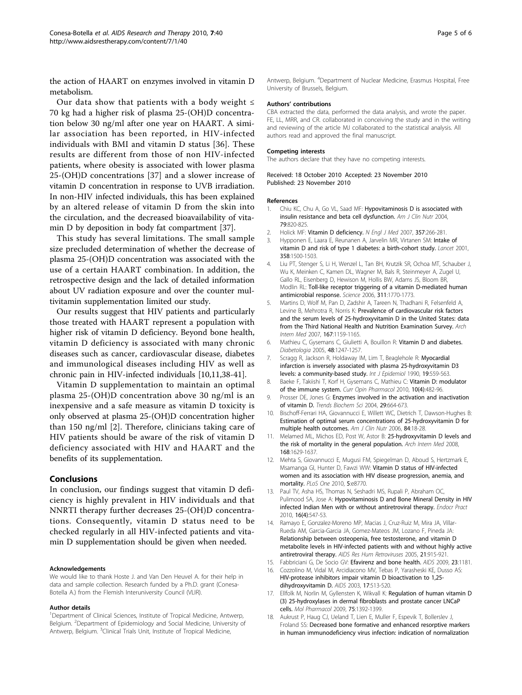<span id="page-4-0"></span>the action of HAART on enzymes involved in vitamin D metabolism.

Our data show that patients with a body weight  $\leq$ 70 kg had a higher risk of plasma 25-(OH)D concentration below 30 ng/ml after one year on HAART. A similar association has been reported, in HIV-infected individuals with BMI and vitamin D status [\[36](#page-5-0)]. These results are different from those of non HIV-infected patients, where obesity is associated with lower plasma 25-(OH)D concentrations [\[37\]](#page-5-0) and a slower increase of vitamin D concentration in response to UVB irradiation. In non-HIV infected individuals, this has been explained by an altered release of vitamin D from the skin into the circulation, and the decreased bioavailability of vitamin D by deposition in body fat compartment [[37\]](#page-5-0).

This study has several limitations. The small sample size precluded determination of whether the decrease of plasma 25-(OH)D concentration was associated with the use of a certain HAART combination. In addition, the retrospective design and the lack of detailed information about UV radiation exposure and over the counter multivitamin supplementation limited our study.

Our results suggest that HIV patients and particularly those treated with HAART represent a population with higher risk of vitamin D deficiency. Beyond bone health, vitamin D deficiency is associated with many chronic diseases such as cancer, cardiovascular disease, diabetes and immunological diseases including HIV as well as chronic pain in HIV-infected individuals [10,11[,38-41](#page-5-0)].

Vitamin D supplementation to maintain an optimal plasma 25-(OH)D concentration above 30 ng/ml is an inexpensive and a safe measure as vitamin D toxicity is only observed at plasma 25-(OH)D concentration higher than 150 ng/ml [2]. Therefore, clinicians taking care of HIV patients should be aware of the risk of vitamin D deficiency associated with HIV and HAART and the benefits of its supplementation.

#### Conclusions

In conclusion, our findings suggest that vitamin D deficiency is highly prevalent in HIV individuals and that NNRTI therapy further decreases 25-(OH)D concentrations. Consequently, vitamin D status need to be checked regularly in all HIV-infected patients and vitamin D supplementation should be given when needed.

#### Acknowledgements

We would like to thank Hoste J. and Van Den Heuvel A. for their help in data and sample collection. Research funded by a Ph.D. grant (Conesa-Botella A.) from the Flemish Interuniversity Council (VLIR).

#### Author details

<sup>1</sup>Department of Clinical Sciences, Institute of Tropical Medicine, Antwerp, Belgium. <sup>2</sup>Department of Epidemiology and Social Medicine, University of Antwerp, Belgium. <sup>3</sup>Clinical Trials Unit, Institute of Tropical Medicine,

Antwerp, Belgium. <sup>4</sup>Department of Nuclear Medicine, Erasmus Hospital, Free University of Brussels, Belgium.

#### Authors' contributions

CBA extracted the data, performed the data analysis, and wrote the paper. FE, LL, MRR, and CR. collaborated in conceiving the study and in the writing and reviewing of the article MJ collaborated to the statistical analysis. All authors read and approved the final manuscript.

#### Competing interests

The authors declare that they have no competing interests.

Received: 18 October 2010 Accepted: 23 November 2010 Published: 23 November 2010

#### References

- 1. Chiu KC, Chu A, Go VL, Saad MF: [Hypovitaminosis D is associated with](http://www.ncbi.nlm.nih.gov/pubmed/15113720?dopt=Abstract) [insulin resistance and beta cell dysfunction.](http://www.ncbi.nlm.nih.gov/pubmed/15113720?dopt=Abstract) Am J Clin Nutr 2004, 79:820-825.
- 2. Holick MF: [Vitamin D deficiency.](http://www.ncbi.nlm.nih.gov/pubmed/17634462?dopt=Abstract) N Engl J Med 2007, 357:266-281.
- 3. Hypponen E, Laara E, Reunanen A, Jarvelin MR, Virtanen SM: [Intake of](http://www.ncbi.nlm.nih.gov/pubmed/11705562?dopt=Abstract) [vitamin D and risk of type 1 diabetes: a birth-cohort study.](http://www.ncbi.nlm.nih.gov/pubmed/11705562?dopt=Abstract) Lancet 2001, 358:1500-1503.
- 4. Liu PT, Stenger S, Li H, Wenzel L, Tan BH, Krutzik SR, Ochoa MT, Schauber J, Wu K, Meinken C, Kamen DL, Wagner M, Bals R, Steinmeyer A, Zugel U, Gallo RL, Eisenberg D, Hewison M, Hollis BW, Adams JS, Bloom BR, Modlin RL: [Toll-like receptor triggering of a vitamin D-mediated human](http://www.ncbi.nlm.nih.gov/pubmed/16497887?dopt=Abstract) [antimicrobial response.](http://www.ncbi.nlm.nih.gov/pubmed/16497887?dopt=Abstract) Science 2006, 311:1770-1773.
- 5. Martins D, Wolf M, Pan D, Zadshir A, Tareen N, Thadhani R, Felsenfeld A, Levine B, Mehrotra R, Norris K: [Prevalence of cardiovascular risk factors](http://www.ncbi.nlm.nih.gov/pubmed/17563024?dopt=Abstract) [and the serum levels of 25-hydroxyvitamin D in the United States: data](http://www.ncbi.nlm.nih.gov/pubmed/17563024?dopt=Abstract) [from the Third National Health and Nutrition Examination Survey.](http://www.ncbi.nlm.nih.gov/pubmed/17563024?dopt=Abstract) Arch Intern Med 2007, 167:1159-1165.
- 6. Mathieu C, Gysemans C, Giulietti A, Bouillon R: [Vitamin D and diabetes.](http://www.ncbi.nlm.nih.gov/pubmed/15971062?dopt=Abstract) Diabetologia 2005, 48:1247-1257.
- 7. Scragg R, Jackson R, Holdaway IM, Lim T, Beaglehole R: [Myocardial](http://www.ncbi.nlm.nih.gov/pubmed/2262248?dopt=Abstract) [infarction is inversely associated with plasma 25-hydroxyvitamin D3](http://www.ncbi.nlm.nih.gov/pubmed/2262248?dopt=Abstract) [levels: a community-based study.](http://www.ncbi.nlm.nih.gov/pubmed/2262248?dopt=Abstract) Int J Epidemiol 1990, 19:559-563.
- 8. Baeke F, Takiishi T, Korf H, Gysemans C, Mathieu C: [Vitamin D: modulator](http://www.ncbi.nlm.nih.gov/pubmed/20427238?dopt=Abstract) [of the immune system.](http://www.ncbi.nlm.nih.gov/pubmed/20427238?dopt=Abstract) Curr Opin Pharmacol 2010, 10(4):482-96.
- 9. Prosser DE, Jones G: [Enzymes involved in the activation and inactivation](http://www.ncbi.nlm.nih.gov/pubmed/15544953?dopt=Abstract) [of vitamin D.](http://www.ncbi.nlm.nih.gov/pubmed/15544953?dopt=Abstract) Trends Biochem Sci 2004, 29:664-673.
- 10. Bischoff-Ferrari HA, Giovannucci E, Willett WC, Dietrich T, Dawson-Hughes B: [Estimation of optimal serum concentrations of 25-hydroxyvitamin D for](http://www.ncbi.nlm.nih.gov/pubmed/16825677?dopt=Abstract) [multiple health outcomes.](http://www.ncbi.nlm.nih.gov/pubmed/16825677?dopt=Abstract) Am J Clin Nutr 2006, 84:18-28.
- 11. Melamed ML, Michos ED, Post W, Astor B: [25-hydroxyvitamin D levels and](http://www.ncbi.nlm.nih.gov/pubmed/18695076?dopt=Abstract) [the risk of mortality in the general population.](http://www.ncbi.nlm.nih.gov/pubmed/18695076?dopt=Abstract) Arch Intern Med 2008, 168:1629-1637.
- 12. Mehta S, Giovannucci E, Mugusi FM, Spiegelman D, Aboud S, Hertzmark E, Msamanga GI, Hunter D, Fawzi WW: [Vitamin D status of HIV-infected](http://www.ncbi.nlm.nih.gov/pubmed/20098738?dopt=Abstract) [women and its association with HIV disease progression, anemia, and](http://www.ncbi.nlm.nih.gov/pubmed/20098738?dopt=Abstract) [mortality.](http://www.ncbi.nlm.nih.gov/pubmed/20098738?dopt=Abstract) PLoS One 2010, 5:e8770.
- 13. Paul TV, Asha HS, Thomas N, Seshadri MS, Rupali P, Abraham OC, Pulimood SA, Jose A: [Hypovitaminosis D and Bone Mineral Density in HIV](http://www.ncbi.nlm.nih.gov/pubmed/20150027?dopt=Abstract) [infected Indian Men with or without antiretroviral therapy.](http://www.ncbi.nlm.nih.gov/pubmed/20150027?dopt=Abstract) Endocr Pract 2010, 16(4):547-53.
- 14. Ramayo E, Gonzalez-Moreno MP, Macias J, Cruz-Ruiz M, Mira JA, Villar-Rueda AM, Garcia-Garcia JA, Gomez-Mateos JM, Lozano F, Pineda JA: [Relationship between osteopenia, free testosterone, and vitamin D](http://www.ncbi.nlm.nih.gov/pubmed/16386106?dopt=Abstract) [metabolite levels in HIV-infected patients with and without highly active](http://www.ncbi.nlm.nih.gov/pubmed/16386106?dopt=Abstract) [antiretroviral therapy.](http://www.ncbi.nlm.nih.gov/pubmed/16386106?dopt=Abstract) AIDS Res Hum Retroviruses 2005, 21:915-921.
- 15. Fabbriciani G, De Socio GV: [Efavirenz and bone health.](http://www.ncbi.nlm.nih.gov/pubmed/19451795?dopt=Abstract) AIDS 2009, 23:1181.
- 16. Cozzolino M, Vidal M, Arcidiacono MV, Tebas P, Yarasheski KE, Dusso AS: [HIV-protease inhibitors impair vitamin D bioactivation to 1,25](http://www.ncbi.nlm.nih.gov/pubmed/12598771?dopt=Abstract) [dihydroxyvitamin D.](http://www.ncbi.nlm.nih.gov/pubmed/12598771?dopt=Abstract) AIDS 2003, 17:513-520.
- 17. Ellfolk M, Norlin M, Gyllensten K, Wikvall K: [Regulation of human vitamin D](http://www.ncbi.nlm.nih.gov/pubmed/19286836?dopt=Abstract) [\(3\) 25-hydroxylases in dermal fibroblasts and prostate cancer LNCaP](http://www.ncbi.nlm.nih.gov/pubmed/19286836?dopt=Abstract) [cells.](http://www.ncbi.nlm.nih.gov/pubmed/19286836?dopt=Abstract) Mol Pharmacol 2009, 75:1392-1399.
- 18. Aukrust P, Haug CJ, Ueland T, Lien E, Muller F, Espevik T, Bollerslev J, Froland SS: [Decreased bone formative and enhanced resorptive markers](http://www.ncbi.nlm.nih.gov/pubmed/9920075?dopt=Abstract) [in human immunodeficiency virus infection: indication of normalization](http://www.ncbi.nlm.nih.gov/pubmed/9920075?dopt=Abstract)